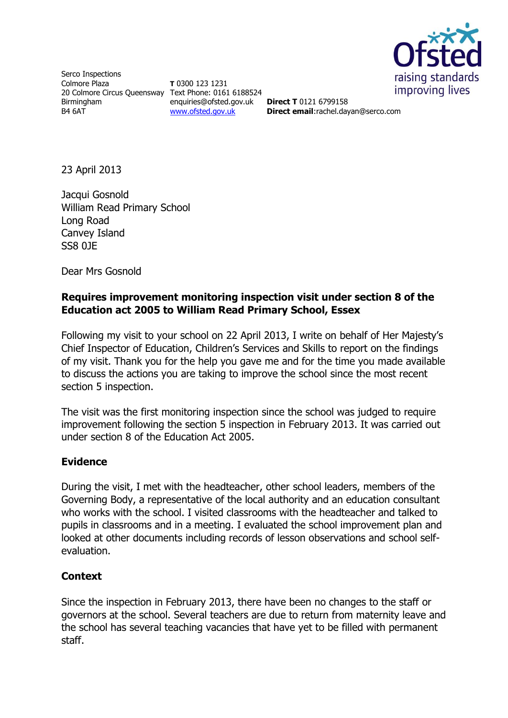

Serco Inspections Colmore Plaza 20 Colmore Circus Queensway Text Phone: 0161 6188524 Birmingham B4 6AT

**T** 0300 123 1231 enquiries@ofsted.gov.uk [www.ofsted.gov.uk](http://www.ofsted.gov.uk/)

**Direct T** 0121 6799158 **Direct email**:rachel.dayan@serco.com

23 April 2013

Jacqui Gosnold William Read Primary School Long Road Canvey Island SS8 0JE

Dear Mrs Gosnold

## **Requires improvement monitoring inspection visit under section 8 of the Education act 2005 to William Read Primary School, Essex**

Following my visit to your school on 22 April 2013, I write on behalf of Her Majesty's Chief Inspector of Education, Children's Services and Skills to report on the findings of my visit. Thank you for the help you gave me and for the time you made available to discuss the actions you are taking to improve the school since the most recent section 5 inspection.

The visit was the first monitoring inspection since the school was judged to require improvement following the section 5 inspection in February 2013. It was carried out under section 8 of the Education Act 2005.

## **Evidence**

During the visit, I met with the headteacher, other school leaders, members of the Governing Body, a representative of the local authority and an education consultant who works with the school. I visited classrooms with the headteacher and talked to pupils in classrooms and in a meeting. I evaluated the school improvement plan and looked at other documents including records of lesson observations and school selfevaluation.

## **Context**

Since the inspection in February 2013, there have been no changes to the staff or governors at the school. Several teachers are due to return from maternity leave and the school has several teaching vacancies that have yet to be filled with permanent staff.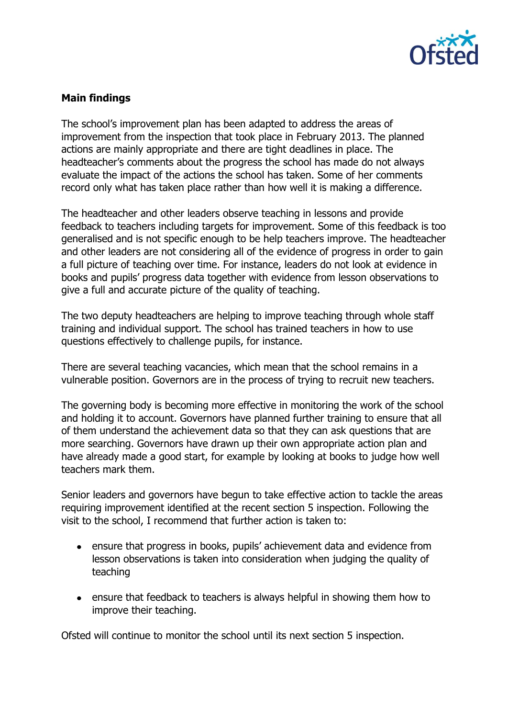

# **Main findings**

The school's improvement plan has been adapted to address the areas of improvement from the inspection that took place in February 2013. The planned actions are mainly appropriate and there are tight deadlines in place. The headteacher's comments about the progress the school has made do not always evaluate the impact of the actions the school has taken. Some of her comments record only what has taken place rather than how well it is making a difference.

The headteacher and other leaders observe teaching in lessons and provide feedback to teachers including targets for improvement. Some of this feedback is too generalised and is not specific enough to be help teachers improve. The headteacher and other leaders are not considering all of the evidence of progress in order to gain a full picture of teaching over time. For instance, leaders do not look at evidence in books and pupils' progress data together with evidence from lesson observations to give a full and accurate picture of the quality of teaching.

The two deputy headteachers are helping to improve teaching through whole staff training and individual support. The school has trained teachers in how to use questions effectively to challenge pupils, for instance.

There are several teaching vacancies, which mean that the school remains in a vulnerable position. Governors are in the process of trying to recruit new teachers.

The governing body is becoming more effective in monitoring the work of the school and holding it to account. Governors have planned further training to ensure that all of them understand the achievement data so that they can ask questions that are more searching. Governors have drawn up their own appropriate action plan and have already made a good start, for example by looking at books to judge how well teachers mark them.

Senior leaders and governors have begun to take effective action to tackle the areas requiring improvement identified at the recent section 5 inspection. Following the visit to the school, I recommend that further action is taken to:

- ensure that progress in books, pupils' achievement data and evidence from lesson observations is taken into consideration when judging the quality of teaching
- ensure that feedback to teachers is always helpful in showing them how to improve their teaching.

Ofsted will continue to monitor the school until its next section 5 inspection.